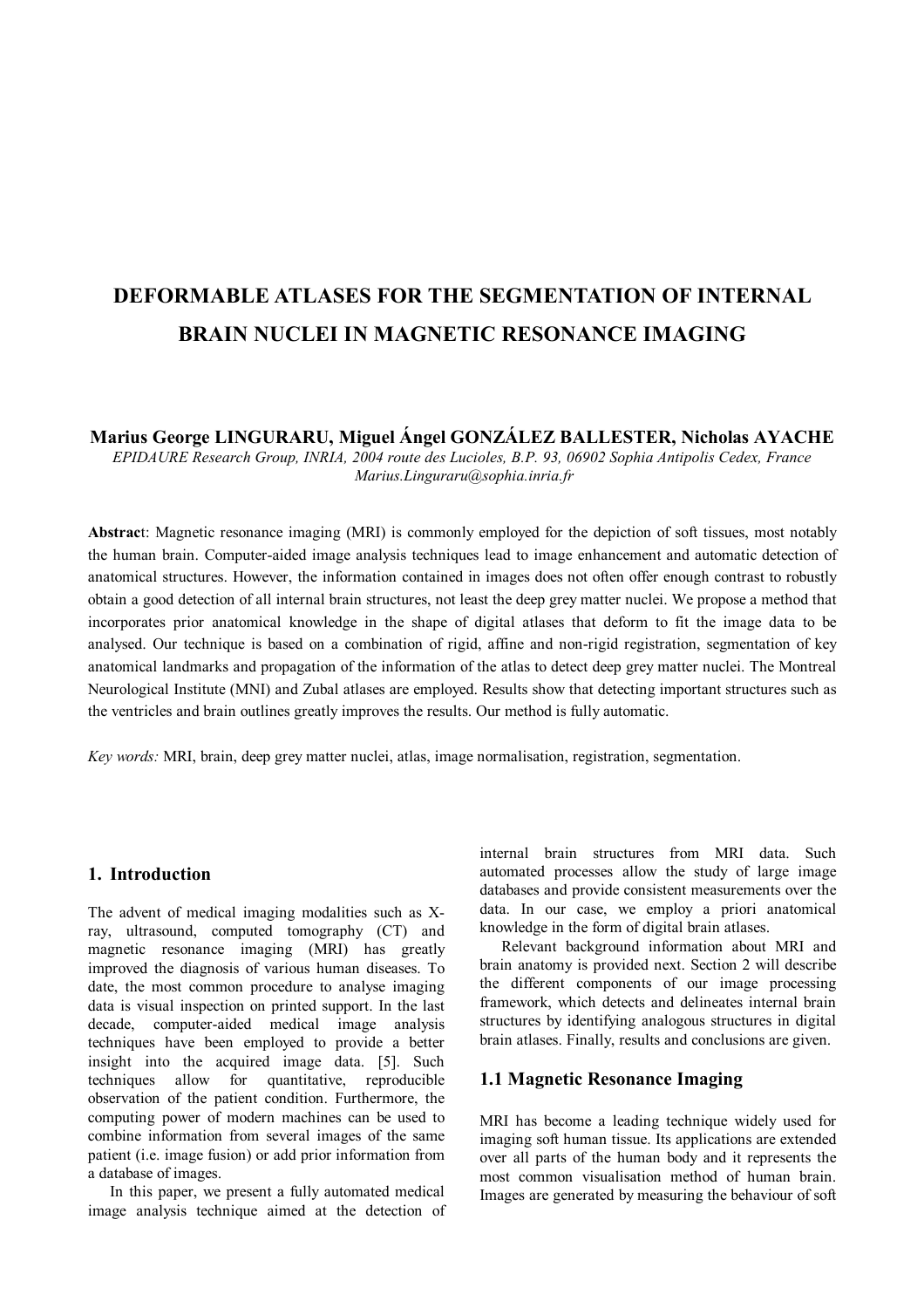# **DEFORMABLE ATLASES FOR THE SEGMENTATION OF INTERNAL BRAIN NUCLEI IN MAGNETIC RESONANCE IMAGING**

#### **Marius George LINGURARU, Miguel Ángel GONZÁLEZ BALLESTER, Nicholas AYACHE**

*EPIDAURE Research Group, INRIA, 2004 route des Lucioles, B.P. 93, 06902 Sophia Antipolis Cedex, France Marius.Linguraru@sophia.inria.fr* 

**Abstrac**t: Magnetic resonance imaging (MRI) is commonly employed for the depiction of soft tissues, most notably the human brain. Computer-aided image analysis techniques lead to image enhancement and automatic detection of anatomical structures. However, the information contained in images does not often offer enough contrast to robustly obtain a good detection of all internal brain structures, not least the deep grey matter nuclei. We propose a method that incorporates prior anatomical knowledge in the shape of digital atlases that deform to fit the image data to be analysed. Our technique is based on a combination of rigid, affine and non-rigid registration, segmentation of key anatomical landmarks and propagation of the information of the atlas to detect deep grey matter nuclei. The Montreal Neurological Institute (MNI) and Zubal atlases are employed. Results show that detecting important structures such as the ventricles and brain outlines greatly improves the results. Our method is fully automatic.

*Key words:* MRI, brain, deep grey matter nuclei, atlas, image normalisation, registration, segmentation.

## **1. Introduction**

The advent of medical imaging modalities such as Xray, ultrasound, computed tomography (CT) and magnetic resonance imaging (MRI) has greatly improved the diagnosis of various human diseases. To date, the most common procedure to analyse imaging data is visual inspection on printed support. In the last decade, computer-aided medical image analysis techniques have been employed to provide a better insight into the acquired image data. [5]. Such techniques allow for quantitative, reproducible observation of the patient condition. Furthermore, the computing power of modern machines can be used to combine information from several images of the same patient (i.e. image fusion) or add prior information from a database of images.

In this paper, we present a fully automated medical image analysis technique aimed at the detection of

internal brain structures from MRI data. Such automated processes allow the study of large image databases and provide consistent measurements over the data. In our case, we employ a priori anatomical knowledge in the form of digital brain atlases.

Relevant background information about MRI and brain anatomy is provided next. Section 2 will describe the different components of our image processing framework, which detects and delineates internal brain structures by identifying analogous structures in digital brain atlases. Finally, results and conclusions are given.

# **1.1 Magnetic Resonance Imaging**

MRI has become a leading technique widely used for imaging soft human tissue. Its applications are extended over all parts of the human body and it represents the most common visualisation method of human brain. Images are generated by measuring the behaviour of soft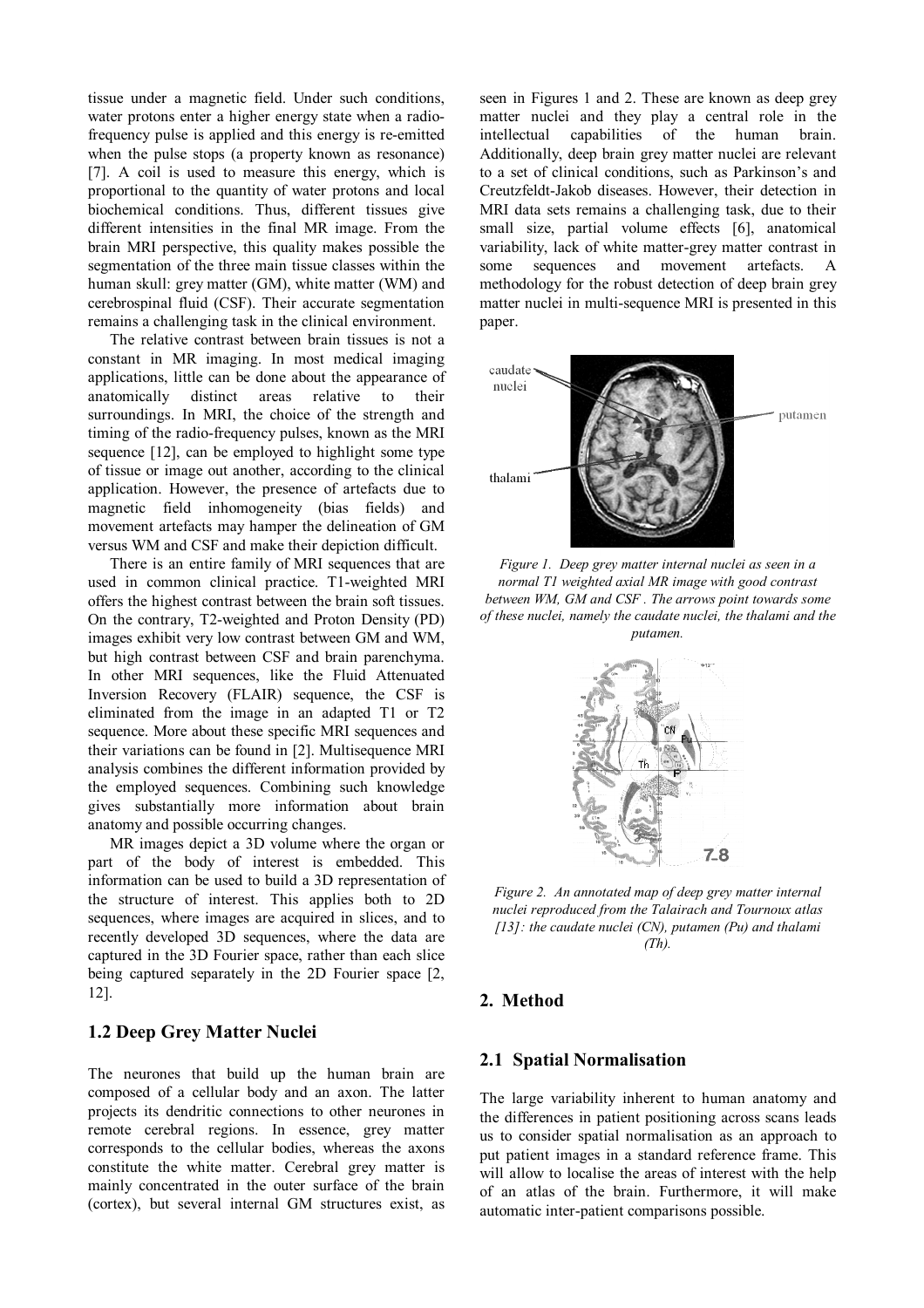tissue under a magnetic field. Under such conditions, water protons enter a higher energy state when a radiofrequency pulse is applied and this energy is re-emitted when the pulse stops (a property known as resonance) [7]. A coil is used to measure this energy, which is proportional to the quantity of water protons and local biochemical conditions. Thus, different tissues give different intensities in the final MR image. From the brain MRI perspective, this quality makes possible the segmentation of the three main tissue classes within the human skull: grey matter (GM), white matter (WM) and cerebrospinal fluid (CSF). Their accurate segmentation remains a challenging task in the clinical environment.

The relative contrast between brain tissues is not a constant in MR imaging. In most medical imaging applications, little can be done about the appearance of anatomically distinct areas relative to their surroundings. In MRI, the choice of the strength and timing of the radio-frequency pulses, known as the MRI sequence [12], can be employed to highlight some type of tissue or image out another, according to the clinical application. However, the presence of artefacts due to magnetic field inhomogeneity (bias fields) and movement artefacts may hamper the delineation of GM versus WM and CSF and make their depiction difficult.

There is an entire family of MRI sequences that are used in common clinical practice. T1-weighted MRI offers the highest contrast between the brain soft tissues. On the contrary, T2-weighted and Proton Density (PD) images exhibit very low contrast between GM and WM, but high contrast between CSF and brain parenchyma. In other MRI sequences, like the Fluid Attenuated Inversion Recovery (FLAIR) sequence, the CSF is eliminated from the image in an adapted T1 or T2 sequence. More about these specific MRI sequences and their variations can be found in [2]. Multisequence MRI analysis combines the different information provided by the employed sequences. Combining such knowledge gives substantially more information about brain anatomy and possible occurring changes.

MR images depict a 3D volume where the organ or part of the body of interest is embedded. This information can be used to build a 3D representation of the structure of interest. This applies both to 2D sequences, where images are acquired in slices, and to recently developed 3D sequences, where the data are captured in the 3D Fourier space, rather than each slice being captured separately in the 2D Fourier space [2, 12].

# **1.2 Deep Grey Matter Nuclei**

The neurones that build up the human brain are composed of a cellular body and an axon. The latter projects its dendritic connections to other neurones in remote cerebral regions. In essence, grey matter corresponds to the cellular bodies, whereas the axons constitute the white matter. Cerebral grey matter is mainly concentrated in the outer surface of the brain (cortex), but several internal GM structures exist, as seen in Figures 1 and 2. These are known as deep grey matter nuclei and they play a central role in the intellectual capabilities of the human brain. Additionally, deep brain grey matter nuclei are relevant to a set of clinical conditions, such as Parkinson's and Creutzfeldt-Jakob diseases. However, their detection in MRI data sets remains a challenging task, due to their small size, partial volume effects [6], anatomical variability, lack of white matter-grey matter contrast in some sequences and movement artefacts. A methodology for the robust detection of deep brain grey matter nuclei in multi-sequence MRI is presented in this paper.



*Figure 1. Deep grey matter internal nuclei as seen in a normal T1 weighted axial MR image with good contrast between WM, GM and CSF . The arrows point towards some of these nuclei, namely the caudate nuclei, the thalami and the putamen.* 



*Figure 2. An annotated map of deep grey matter internal nuclei reproduced from the Talairach and Tournoux atlas [13]: the caudate nuclei (CN), putamen (Pu) and thalami*   $(Th)$ 

# **2. Method**

#### **2.1 Spatial Normalisation**

The large variability inherent to human anatomy and the differences in patient positioning across scans leads us to consider spatial normalisation as an approach to put patient images in a standard reference frame. This will allow to localise the areas of interest with the help of an atlas of the brain. Furthermore, it will make automatic inter-patient comparisons possible.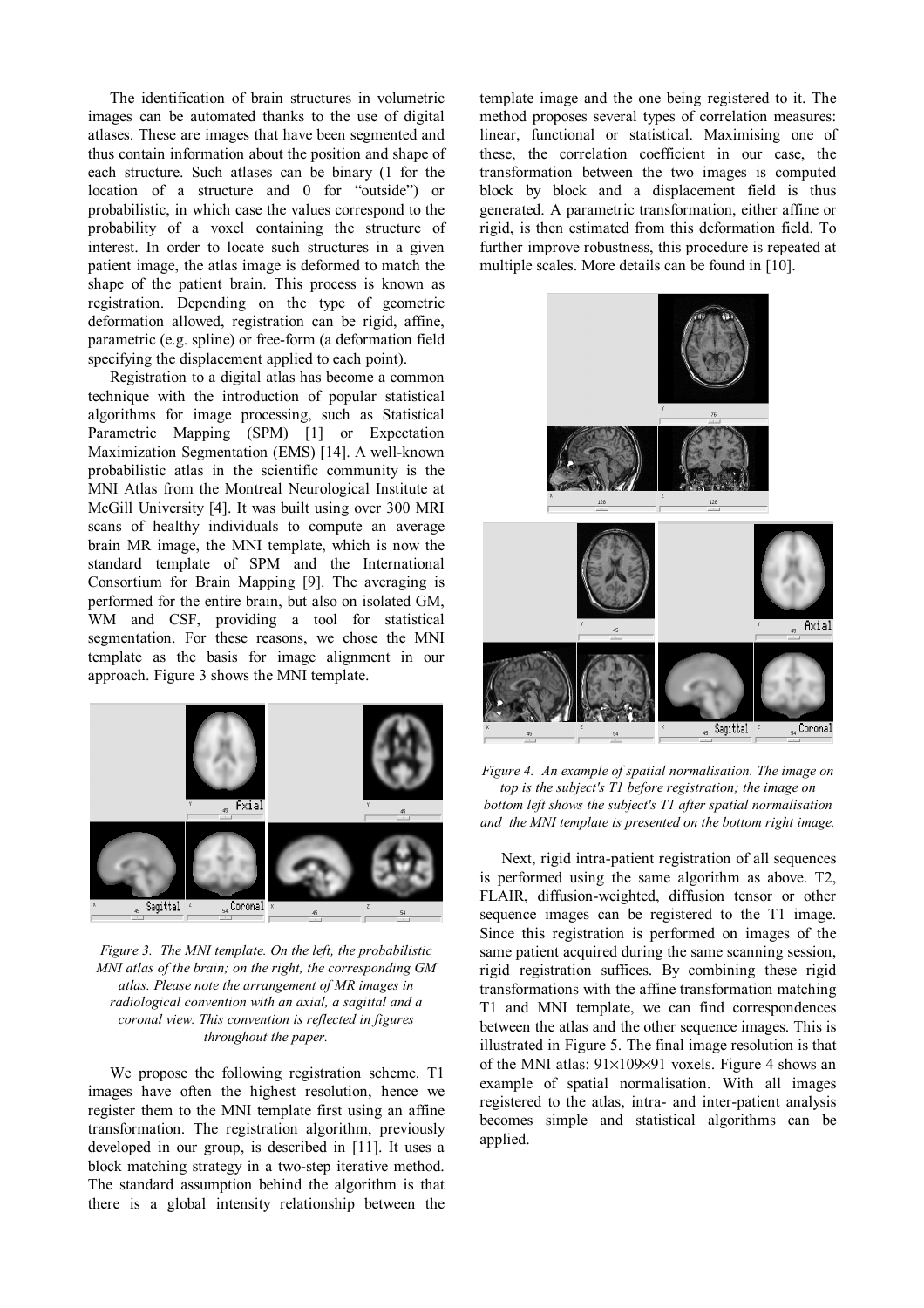The identification of brain structures in volumetric images can be automated thanks to the use of digital atlases. These are images that have been segmented and thus contain information about the position and shape of each structure. Such atlases can be binary (1 for the location of a structure and 0 for "outside") or probabilistic, in which case the values correspond to the probability of a voxel containing the structure of interest. In order to locate such structures in a given patient image, the atlas image is deformed to match the shape of the patient brain. This process is known as registration. Depending on the type of geometric deformation allowed, registration can be rigid, affine, parametric (e.g. spline) or free-form (a deformation field specifying the displacement applied to each point).

Registration to a digital atlas has become a common technique with the introduction of popular statistical algorithms for image processing, such as Statistical Parametric Mapping (SPM) [1] or Expectation Maximization Segmentation (EMS) [14]. A well-known probabilistic atlas in the scientific community is the MNI Atlas from the Montreal Neurological Institute at McGill University [4]. It was built using over 300 MRI scans of healthy individuals to compute an average brain MR image, the MNI template, which is now the standard template of SPM and the International Consortium for Brain Mapping [9]. The averaging is performed for the entire brain, but also on isolated GM, WM and CSF, providing a tool for statistical segmentation. For these reasons, we chose the MNI template as the basis for image alignment in our approach. Figure 3 shows the MNI template.



*Figure 3. The MNI template. On the left, the probabilistic MNI atlas of the brain; on the right, the corresponding GM atlas. Please note the arrangement of MR images in radiological convention with an axial, a sagittal and a coronal view. This convention is reflected in figures throughout the paper.*

We propose the following registration scheme. T1 images have often the highest resolution, hence we register them to the MNI template first using an affine transformation. The registration algorithm, previously developed in our group, is described in [11]. It uses a block matching strategy in a two-step iterative method. The standard assumption behind the algorithm is that there is a global intensity relationship between the

template image and the one being registered to it. The method proposes several types of correlation measures: linear, functional or statistical. Maximising one of these, the correlation coefficient in our case, the transformation between the two images is computed block by block and a displacement field is thus generated. A parametric transformation, either affine or rigid, is then estimated from this deformation field. To further improve robustness, this procedure is repeated at multiple scales. More details can be found in [10].



*Figure 4. An example of spatial normalisation. The image on top is the subject's T1 before registration; the image on bottom left shows the subject's T1 after spatial normalisation and the MNI template is presented on the bottom right image.* 

Next, rigid intra-patient registration of all sequences is performed using the same algorithm as above. T2, FLAIR, diffusion-weighted, diffusion tensor or other sequence images can be registered to the T1 image. Since this registration is performed on images of the same patient acquired during the same scanning session, rigid registration suffices. By combining these rigid transformations with the affine transformation matching T1 and MNI template, we can find correspondences between the atlas and the other sequence images. This is illustrated in Figure 5. The final image resolution is that of the MNI atlas: 91×109×91 voxels. Figure 4 shows an example of spatial normalisation. With all images registered to the atlas, intra- and inter-patient analysis becomes simple and statistical algorithms can be applied.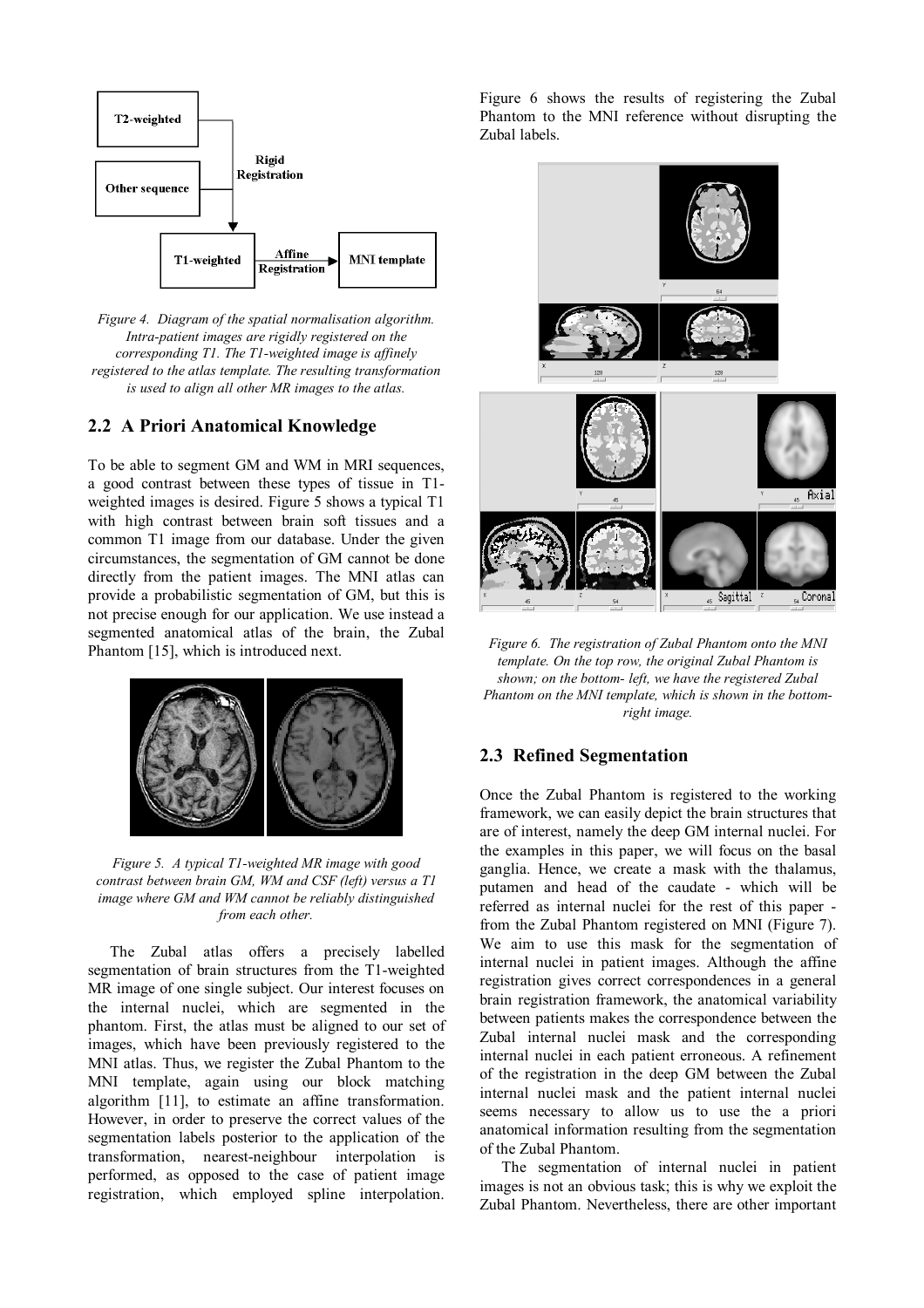

*Figure 4. Diagram of the spatial normalisation algorithm. Intra-patient images are rigidly registered on the corresponding T1. The T1-weighted image is affinely registered to the atlas template. The resulting transformation is used to align all other MR images to the atlas.* 

## **2.2 A Priori Anatomical Knowledge**

To be able to segment GM and WM in MRI sequences, a good contrast between these types of tissue in T1 weighted images is desired. Figure 5 shows a typical T1 with high contrast between brain soft tissues and a common T1 image from our database. Under the given circumstances, the segmentation of GM cannot be done directly from the patient images. The MNI atlas can provide a probabilistic segmentation of GM, but this is not precise enough for our application. We use instead a segmented anatomical atlas of the brain, the Zubal Phantom [15], which is introduced next.



*Figure 5. A typical T1-weighted MR image with good contrast between brain GM, WM and CSF (left) versus a T1 image where GM and WM cannot be reliably distinguished from each other.* 

The Zubal atlas offers a precisely labelled segmentation of brain structures from the T1-weighted MR image of one single subject. Our interest focuses on the internal nuclei, which are segmented in the phantom. First, the atlas must be aligned to our set of images, which have been previously registered to the MNI atlas. Thus, we register the Zubal Phantom to the MNI template, again using our block matching algorithm [11], to estimate an affine transformation. However, in order to preserve the correct values of the segmentation labels posterior to the application of the transformation, nearest-neighbour interpolation is performed, as opposed to the case of patient image registration, which employed spline interpolation.

Figure 6 shows the results of registering the Zubal Phantom to the MNI reference without disrupting the Zubal labels.



*Figure 6. The registration of Zubal Phantom onto the MNI template. On the top row, the original Zubal Phantom is shown; on the bottom- left, we have the registered Zubal Phantom on the MNI template, which is shown in the bottomright image.* 

# **2.3 Refined Segmentation**

Once the Zubal Phantom is registered to the working framework, we can easily depict the brain structures that are of interest, namely the deep GM internal nuclei. For the examples in this paper, we will focus on the basal ganglia. Hence, we create a mask with the thalamus, putamen and head of the caudate - which will be referred as internal nuclei for the rest of this paper from the Zubal Phantom registered on MNI (Figure 7). We aim to use this mask for the segmentation of internal nuclei in patient images. Although the affine registration gives correct correspondences in a general brain registration framework, the anatomical variability between patients makes the correspondence between the Zubal internal nuclei mask and the corresponding internal nuclei in each patient erroneous. A refinement of the registration in the deep GM between the Zubal internal nuclei mask and the patient internal nuclei seems necessary to allow us to use the a priori anatomical information resulting from the segmentation of the Zubal Phantom.

The segmentation of internal nuclei in patient images is not an obvious task; this is why we exploit the Zubal Phantom. Nevertheless, there are other important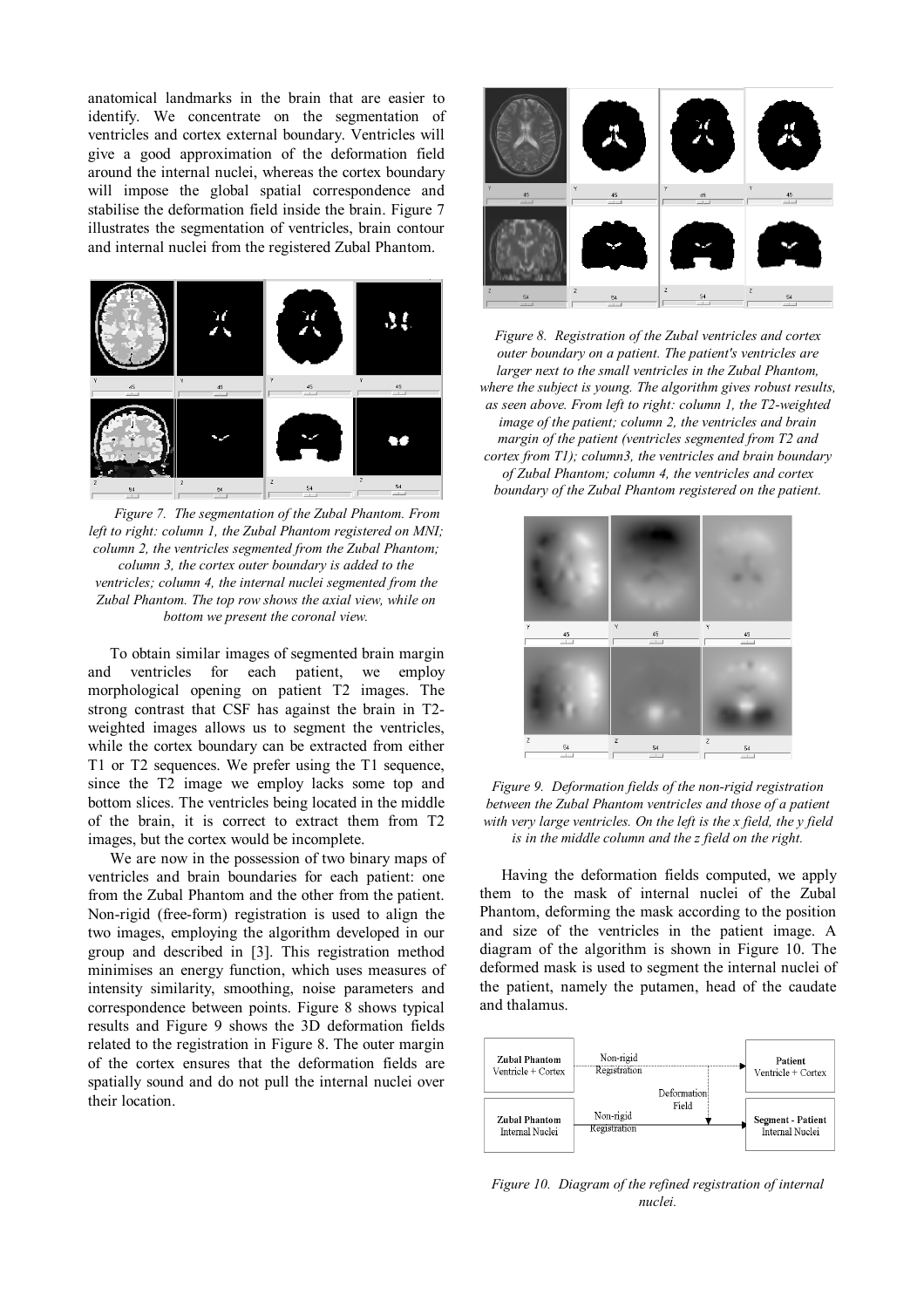anatomical landmarks in the brain that are easier to identify. We concentrate on the segmentation of ventricles and cortex external boundary. Ventricles will give a good approximation of the deformation field around the internal nuclei, whereas the cortex boundary will impose the global spatial correspondence and stabilise the deformation field inside the brain. Figure 7 illustrates the segmentation of ventricles, brain contour and internal nuclei from the registered Zubal Phantom.



*Figure 7. The segmentation of the Zubal Phantom. From left to right: column 1, the Zubal Phantom registered on MNI; column 2, the ventricles segmented from the Zubal Phantom; column 3, the cortex outer boundary is added to the ventricles; column 4, the internal nuclei segmented from the Zubal Phantom. The top row shows the axial view, while on bottom we present the coronal view.* 

To obtain similar images of segmented brain margin and ventricles for each patient, we employ morphological opening on patient T2 images. The strong contrast that CSF has against the brain in T2 weighted images allows us to segment the ventricles, while the cortex boundary can be extracted from either T1 or T2 sequences. We prefer using the T1 sequence, since the T2 image we employ lacks some top and bottom slices. The ventricles being located in the middle of the brain, it is correct to extract them from T2 images, but the cortex would be incomplete.

We are now in the possession of two binary maps of ventricles and brain boundaries for each patient: one from the Zubal Phantom and the other from the patient. Non-rigid (free-form) registration is used to align the two images, employing the algorithm developed in our group and described in [3]. This registration method minimises an energy function, which uses measures of intensity similarity, smoothing, noise parameters and correspondence between points. Figure 8 shows typical results and Figure 9 shows the 3D deformation fields related to the registration in Figure 8. The outer margin of the cortex ensures that the deformation fields are spatially sound and do not pull the internal nuclei over their location.



*Figure 8. Registration of the Zubal ventricles and cortex outer boundary on a patient. The patient's ventricles are larger next to the small ventricles in the Zubal Phantom, where the subject is young. The algorithm gives robust results, as seen above. From left to right: column 1, the T2-weighted image of the patient; column 2, the ventricles and brain margin of the patient (ventricles segmented from T2 and cortex from T1); column3, the ventricles and brain boundary of Zubal Phantom; column 4, the ventricles and cortex boundary of the Zubal Phantom registered on the patient.* 





Having the deformation fields computed, we apply them to the mask of internal nuclei of the Zubal Phantom, deforming the mask according to the position and size of the ventricles in the patient image. A diagram of the algorithm is shown in Figure 10. The deformed mask is used to segment the internal nuclei of the patient, namely the putamen, head of the caudate and thalamus.



*Figure 10. Diagram of the refined registration of internal nuclei.*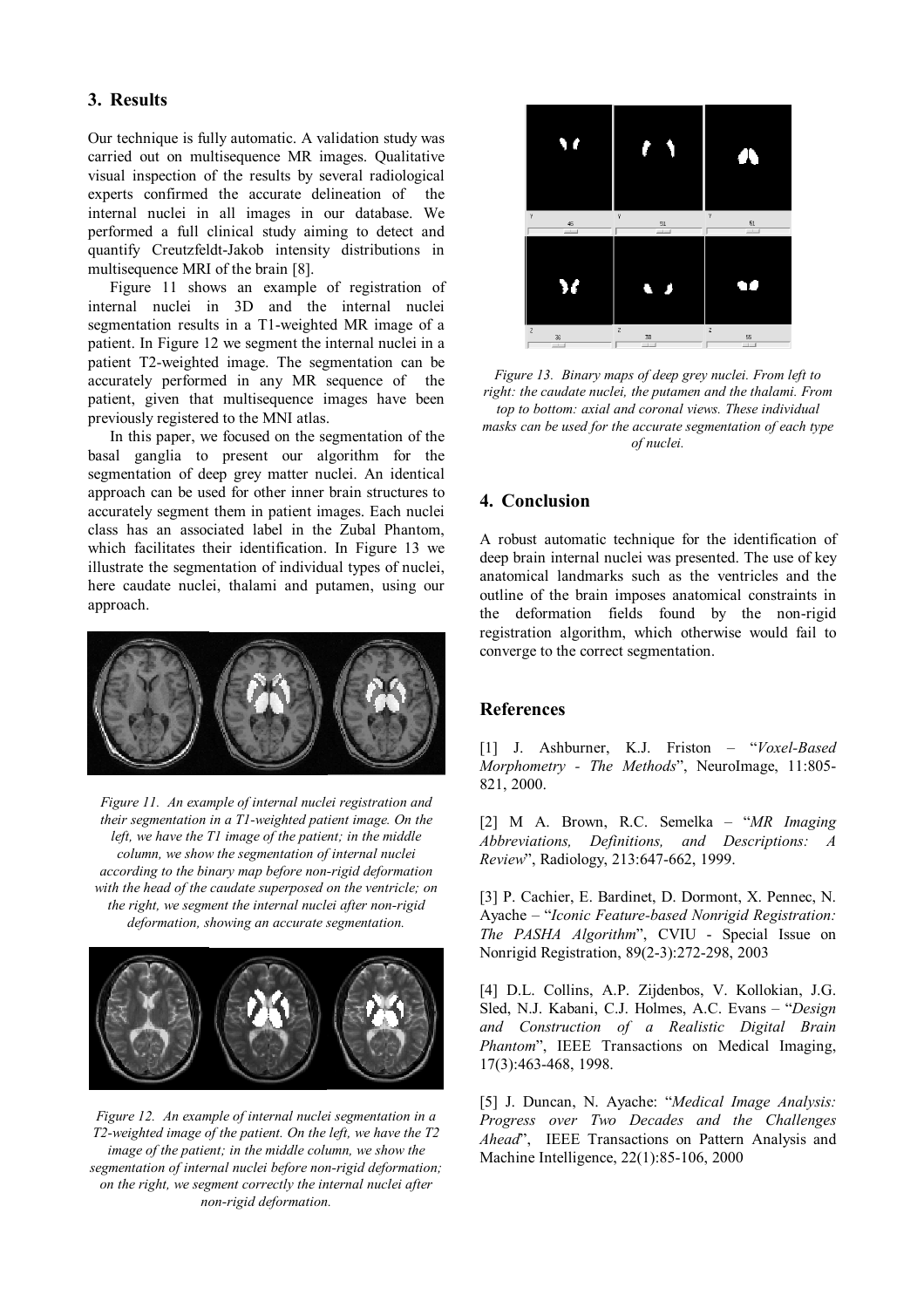## **3. Results**

Our technique is fully automatic. A validation study was carried out on multisequence MR images. Qualitative visual inspection of the results by several radiological experts confirmed the accurate delineation of the internal nuclei in all images in our database. We performed a full clinical study aiming to detect and quantify Creutzfeldt-Jakob intensity distributions in multisequence MRI of the brain [8].

Figure 11 shows an example of registration of internal nuclei in 3D and the internal nuclei segmentation results in a T1-weighted MR image of a patient. In Figure 12 we segment the internal nuclei in a patient T2-weighted image. The segmentation can be accurately performed in any MR sequence of the patient, given that multisequence images have been previously registered to the MNI atlas.

In this paper, we focused on the segmentation of the basal ganglia to present our algorithm for the segmentation of deep grey matter nuclei. An identical approach can be used for other inner brain structures to accurately segment them in patient images. Each nuclei class has an associated label in the Zubal Phantom, which facilitates their identification. In Figure 13 we illustrate the segmentation of individual types of nuclei, here caudate nuclei, thalami and putamen, using our approach.



*Figure 11. An example of internal nuclei registration and their segmentation in a T1-weighted patient image. On the left, we have the T1 image of the patient; in the middle column, we show the segmentation of internal nuclei according to the binary map before non-rigid deformation with the head of the caudate superposed on the ventricle; on the right, we segment the internal nuclei after non-rigid deformation, showing an accurate segmentation.* 



*Figure 12. An example of internal nuclei segmentation in a T2-weighted image of the patient. On the left, we have the T2 image of the patient; in the middle column, we show the segmentation of internal nuclei before non-rigid deformation; on the right, we segment correctly the internal nuclei after non-rigid deformation.* 



*Figure 13. Binary maps of deep grey nuclei. From left to right: the caudate nuclei, the putamen and the thalami. From top to bottom: axial and coronal views. These individual masks can be used for the accurate segmentation of each type of nuclei.* 

# **4. Conclusion**

A robust automatic technique for the identification of deep brain internal nuclei was presented. The use of key anatomical landmarks such as the ventricles and the outline of the brain imposes anatomical constraints in the deformation fields found by the non-rigid registration algorithm, which otherwise would fail to converge to the correct segmentation.

#### **References**

[1] J. Ashburner, K.J. Friston – "*Voxel-Based Morphometry - The Methods*", NeuroImage, 11:805- 821, 2000.

[2] M A. Brown, R.C. Semelka – "*MR Imaging Abbreviations, Definitions, and Descriptions: A Review*", Radiology, 213:647-662, 1999.

[3] P. Cachier, E. Bardinet, D. Dormont, X. Pennec, N. Ayache – "*Iconic Feature-based Nonrigid Registration: The PASHA Algorithm*", CVIU - Special Issue on Nonrigid Registration, 89(2-3):272-298, 2003

[4] D.L. Collins, A.P. Zijdenbos, V. Kollokian, J.G. Sled, N.J. Kabani, C.J. Holmes, A.C. Evans – "*Design and Construction of a Realistic Digital Brain Phantom*", IEEE Transactions on Medical Imaging, 17(3):463-468, 1998.

[5] J. Duncan, N. Ayache: "*Medical Image Analysis: Progress over Two Decades and the Challenges Ahead*", IEEE Transactions on Pattern Analysis and Machine Intelligence, 22(1):85-106, 2000